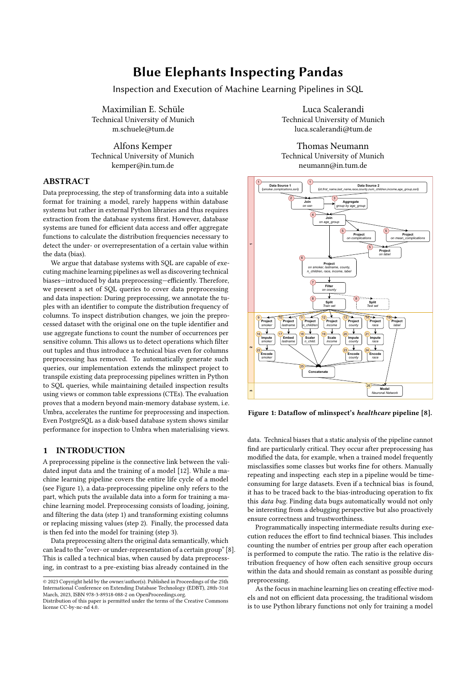# Blue Elephants Inspecting Pandas

Inspection and Execution of Machine Learning Pipelines in SQL

Maximilian E. Schüle Technical University of Munich m.schuele@tum.de

Alfons Kemper Technical University of Munich kemper@in.tum.de

# ABSTRACT

Data preprocessing, the step of transforming data into a suitable format for training a model, rarely happens within database systems but rather in external Python libraries and thus requires extraction from the database systems first. However, database systems are tuned for efficient data access and offer aggregate functions to calculate the distribution frequencies necessary to detect the under- or overrepresentation of a certain value within the data (bias).

We argue that database systems with SQL are capable of executing machine learning pipelines as well as discovering technical biases—introduced by data preprocessing—efficiently. Therefore, we present a set of SQL queries to cover data preprocessing and data inspection: During preprocessing, we annotate the tuples with an identifier to compute the distribution frequency of columns. To inspect distribution changes, we join the preprocessed dataset with the original one on the tuple identifier and use aggregate functions to count the number of occurrences per sensitive column. This allows us to detect operations which filter out tuples and thus introduce a technical bias even for columns preprocessing has removed. To automatically generate such queries, our implementation extends the mlinspect project to transpile existing data preprocessing pipelines written in Python to SQL queries, while maintaining detailed inspection results using views or common table expressions (CTEs). The evaluation proves that a modern beyond main-memory database system, i.e. Umbra, accelerates the runtime for preprocessing and inspection. Even PostgreSQL as a disk-based database system shows similar performance for inspection to Umbra when materialising views.

# 1 INTRODUCTION

A preprocessing pipeline is the connective link between the validated input data and the training of a model [\[12\]](#page-12-0). While a machine learning pipeline covers the entire life cycle of a model (see [Figure 1\)](#page-0-0), a data-preprocessing pipeline only refers to the part, which puts the available data into a form for training a machine learning model. Preprocessing consists of loading, joining, and filtering the data (step 1) and transforming existing columns or replacing missing values (step 2). Finally, the processed data is then fed into the model for training (step 3).

Data preprocessing alters the original data semantically, which can lead to the "over- or under-representation of a certain group" [\[8\]](#page-12-1). This is called a technical bias, when caused by data preprocessing, in contrast to a pre-existing bias already contained in the

Luca Scalerandi Technical University of Munich luca.scalerandi@tum.de

Thomas Neumann Technical University of Munich neumann@in.tum.de

<span id="page-0-0"></span>

Figure 1: Dataflow of mlinspect's healthcare pipeline [\[8\]](#page-12-1).

data. Technical biases that a static analysis of the pipeline cannot find are particularly critical. They occur after preprocessing has modified the data, for example, when a trained model frequently misclassifies some classes but works fine for others. Manually repeating and inspecting each step in a pipeline would be timeconsuming for large datasets. Even if a technical bias is found, it has to be traced back to the bias-introducing operation to fix this data bug. Finding data bugs automatically would not only be interesting from a debugging perspective but also proactively ensure correctness and trustworthiness.

Programmatically inspecting intermediate results during execution reduces the effort to find technical biases. This includes counting the number of entries per group after each operation is performed to compute the ratio. The ratio is the relative distribution frequency of how often each sensitive group occurs within the data and should remain as constant as possible during preprocessing.

As the focus in machine learning lies on creating effective models and not on efficient data processing, the traditional wisdom is to use Python library functions not only for training a model

<sup>©</sup> 2023 Copyright held by the owner/author(s). Published in Proceedings of the 25th International Conference on Extending Database Technology (EDBT), 28th-31st March, 2023, ISBN 978-3-89318-088-2 on OpenProceedings.org.

Distribution of this paper is permitted under the terms of the Creative Commons license CC-by-nc-nd 4.0.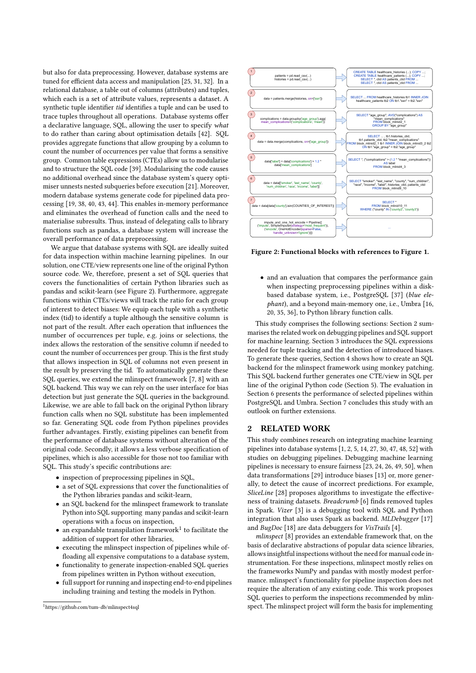but also for data preprocessing. However, database systems are tuned for efficient data access and manipulation [\[25,](#page-12-2) [31,](#page-12-3) [32\]](#page-12-4). In a relational database, a table out of columns (attributes) and tuples, which each is a set of attribute values, represents a dataset. A synthetic tuple identifier tid identifies a tuple and can be used to trace tuples throughout all operations. Database systems offer a declarative language, SQL, allowing the user to specify what to do rather than caring about optimisation details [\[42\]](#page-12-5). SQL provides aggregate functions that allow grouping by a column to count the number of occurrences per value that forms a sensitive group. Common table expressions (CTEs) allow us to modularise and to structure the SQL code [\[39\]](#page-12-6). Modularising the code causes no additional overhead since the database system's query optimiser unnests nested subqueries before execution [\[21\]](#page-12-7). Moreover, modern database systems generate code for pipelined data processing [\[19,](#page-12-8) [38,](#page-12-9) [40,](#page-12-10) [43,](#page-12-11) [44\]](#page-12-12). This enables in-memory performance and eliminates the overhead of function calls and the need to materialise subresults. Thus, instead of delegating calls to library functions such as pandas, a database system will increase the overall performance of data preprocessing.

We argue that database systems with SQL are ideally suited for data inspection within machine learning pipelines. In our solution, one CTE/view represents one line of the original Python source code. We, therefore, present a set of SQL queries that covers the functionalities of certain Python libraries such as pandas and scikit-learn (see [Figure 2\)](#page-1-0). Furthermore, aggregate functions within CTEs/views will track the ratio for each group of interest to detect biases: We equip each tuple with a synthetic index (tid) to identify a tuple although the sensitive column is not part of the result. After each operation that influences the number of occurrences per tuple, e.g. joins or selections, the index allows the restoration of the sensitive column if needed to count the number of occurrences per group. This is the first study that allows inspection in SQL of columns not even present in the result by preserving the tid. To automatically generate these SQL queries, we extend the mlinspect framework [\[7,](#page-12-13) [8\]](#page-12-1) with an SQL backend. This way we can rely on the user interface for bias detection but just generate the SQL queries in the background. Likewise, we are able to fall back on the original Python library function calls when no SQL substitute has been implemented so far. Generating SQL code from Python pipelines provides further advantages. Firstly, existing pipelines can benefit from the performance of database systems without alteration of the original code. Secondly, it allows a less verbose specification of pipelines, which is also accessible for those not too familiar with SQL. This study's specific contributions are:

- inspection of preprocessing pipelines in SQL,
- a set of SQL expressions that cover the functionalities of the Python libraries pandas and scikit-learn,
- an SQL backend for the mlinspect framework to translate Python into SQL supporting many pandas and scikit-learn operations with a focus on inspection,
- $\bullet\,$  an expandable transpilation framework $^1$  $^1$  to facilitate the addition of support for other libraries,
- executing the mlinspect inspection of pipelines while offloading all expensive computations to a database system,
- functionality to generate inspection-enabled SQL queries from pipelines written in Python without execution,
- full support for running and inspecting end-to-end pipelines including training and testing the models in Python.

<span id="page-1-1"></span>

<span id="page-1-0"></span>

Figure 2: Functional blocks with references to [Figure 1.](#page-0-0)

• and an evaluation that compares the performance gain when inspecting preprocessing pipelines within a diskbased database system, i.e., PostgreSQL [\[37\]](#page-12-14) (blue elephant), and a beyond main-memory one, i.e., Umbra [\[16,](#page-12-15) [20,](#page-12-16) [35,](#page-12-17) [36\]](#page-12-18), to Python library function calls.

This study comprises the following sections: Section [2](#page-1-2) summarises the related work on debugging pipelines and SQL support for machine learning. Section [3](#page-2-0) introduces the SQL expressions needed for tuple tracking and the detection of introduced biases. To generate these queries, Section [4](#page-4-0) shows how to create an SQL backend for the mlinspect framework using monkey patching. This SQL backend further generates one CTE/view in SQL per line of the original Python code (Section [5\)](#page-5-0). The evaluation in Section [6](#page-8-0) presents the performance of selected pipelines within PostgreSQL and Umbra. Section [7](#page-11-0) concludes this study with an outlook on further extensions.

# <span id="page-1-2"></span>2 RELATED WORK

This study combines research on integrating machine learning pipelines into database systems [\[1,](#page-12-19) [2,](#page-12-20) [5,](#page-12-21) [14,](#page-12-22) [27,](#page-12-23) [30,](#page-12-24) [47,](#page-12-25) [48,](#page-12-26) [52\]](#page-12-27) with studies on debugging pipelines. Debugging machine learning pipelines is necessary to ensure fairness [\[23,](#page-12-28) [24,](#page-12-29) [26,](#page-12-30) [49,](#page-12-31) [50\]](#page-12-32), when data transformations [\[29\]](#page-12-33) introduce biases [\[13\]](#page-12-34) or, more generally, to detect the cause of incorrect predictions. For example, SliceLine [\[28\]](#page-12-35) proposes algorithms to investigate the effectiveness of training datasets. Breadcrumb [\[6\]](#page-12-36) finds removed tuples in Spark. Vizer [\[3\]](#page-12-37) is a debugging tool with SQL and Python integration that also uses Spark as backend. MLDebugger [\[17\]](#page-12-38) and BugDoc [\[18\]](#page-12-39) are data debuggers for VisTrails [\[4\]](#page-12-40).

mlinspect [\[8\]](#page-12-1) provides an extendable framework that, on the basis of declarative abstractions of popular data science libraries, allows insightful inspections without the need for manual code instrumentation. For these inspections, mlinspect mostly relies on the frameworks NumPy and pandas with mostly modest performance. mlinspect's functionality for pipeline inspection does not require the alteration of any existing code. This work proposes SQL queries to perform the inspections recommended by mlinspect. The mlinspect project will form the basis for implementing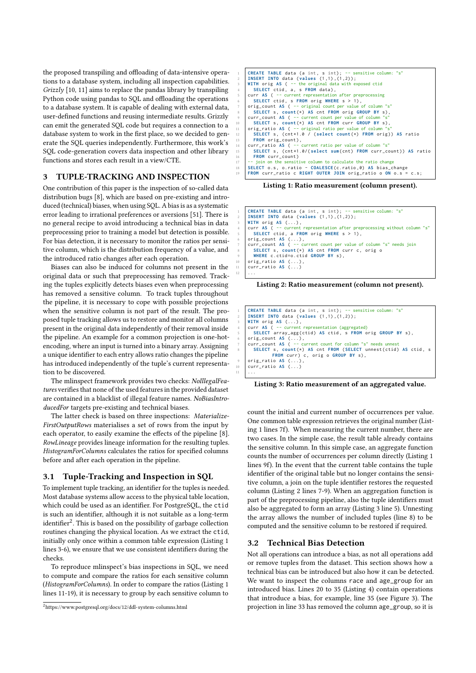the proposed transpiling and offloading of data-intensive operations to a database system, including all inspection capabilities. Grizzly [\[10,](#page-12-41) [11\]](#page-12-42) aims to replace the pandas library by transpiling Python code using pandas to SQL and offloading the operations to a database system. It is capable of dealing with external data, user-defined functions and reusing intermediate results. Grizzly can emit the generated SQL code but requires a connection to a database system to work in the first place, so we decided to generate the SQL queries independently. Furthermore, this work's SQL code-generation covers data inspection and other library functions and stores each result in a view/CTE.

#### <span id="page-2-0"></span>3 TUPLE-TRACKING AND INSPECTION

One contribution of this paper is the inspection of so-called data distribution bugs [\[8\]](#page-12-1), which are based on pre-existing and introduced (technical) biases, when using SQL. A bias is as a systematic error leading to irrational preferences or aversions [\[51\]](#page-12-43). There is no general recipe to avoid introducing a technical bias in data preprocessing prior to training a model but detection is possible. For bias detection, it is necessary to monitor the ratios per sensitive column, which is the distribution frequency of a value, and the introduced ratio changes after each operation.

Biases can also be induced for columns not present in the original data or such that preprocessing has removed. Tracking the tuples explicitly detects biases even when preprocessing has removed a sensitive column. To track tuples throughout the pipeline, it is necessary to cope with possible projections when the sensitive column is not part of the result. The proposed tuple tracking allows us to restore and monitor all columns present in the original data independently of their removal inside the pipeline. An example for a common projection is one-hotencoding, where an input is turned into a binary array. Assigning a unique identifier to each entry allows ratio changes the pipeline has introduced independently of the tuple's current representation to be discovered.

The mlinspect framework provides two checks: NoIllegalFeatures verifies that none of the used features in the provided dataset are contained in a blacklist of illegal feature names. NoBiasIntroducedFor targets pre-existing and technical biases.

The latter check is based on three inspections: Materialize-FirstOutputRows materialises a set of rows from the input by each operator, to easily examine the effects of the pipeline [\[8\]](#page-12-1). RowLineage provides lineage information for the resulting tuples. HistogramForColumns calculates the ratios for specified columns before and after each operation in the pipeline.

#### <span id="page-2-5"></span>3.1 Tuple-Tracking and Inspection in SQL

To implement tuple tracking, an identifier for the tuples is needed. Most database systems allow access to the physical table location, which could be used as an identifier. For PostgreSQL, the ctid is such an identifier, although it is not suitable as a long-term identifier<sup>[2](#page-2-1)</sup>. This is based on the possibility of garbage collection routines changing the physical location. As we extract the ctid, initially only once within a common table expression [\(Listing 1](#page-2-2) lines 3-6), we ensure that we use consistent identifiers during the checks.

To reproduce mlinspect's bias inspections in SQL, we need to compute and compare the ratios for each sensitive column (HistogramForColumns). In order to compare the ratios [\(Listing 1](#page-2-2) lines 11-19), it is necessary to group by each sensitive column to

<span id="page-2-1"></span> $2$ <https://www.postgresql.org/docs/12/ddl-system-columns.html>

<span id="page-2-2"></span>

| $\mathbf{1}$    | CREATE TABLE data (a int, s int); -- sensitive column: "s"                 |
|-----------------|----------------------------------------------------------------------------|
| 2               | <b>INSERT INTO</b> data (values $(1,1)$ , $(1,2)$ );                       |
| 3               | WITH orig AS ( -- the original data with exposed ctid                      |
| $\overline{4}$  | SELECT ctid, a, s FROM data),                                              |
|                 |                                                                            |
| 5               | curr $AS$ ( -- current representation after preprocessing                  |
| 6               | SELECT ctid, $s$ FROM orig WHERE $s > 1$ ),                                |
| $\tau$          | orig_count AS ( -- original count per value of column "s"                  |
| 8               | SELECT s, count $(*)$ AS cnt FROM orig GROUP BY s),                        |
| -9              | curr_count AS ( -- current count per value of column "s"                   |
| 10 <sup>°</sup> | SELECT s, count $(*)$ AS cnt FROM curr GROUP BY s),                        |
| 11              | orig_ratio AS ( -- original ratio per value of column "s"                  |
| 12              | SELECT s, $(\text{cnt*1.0} / (\text{select count(*) FROM orig}))$ AS ratio |
| 13              | FROM orig_count),                                                          |
| 14              | curr_ratio AS ( -- current ratio per value of column "s"                   |
| 15              | SELECT s, (cnt*1.0/(select sum(cnt) FROM curr_count)) AS ratio             |
| 16              | FROM curr_count)                                                           |
| 17              | -- join on the sensitive column to calculate the ratio change              |
| 18              | SELECT $o.s. o. ratio - COALESCE(c. ratio, 0) AS bias_change$              |
| 19              | FROM curr_ratio c RIGHT OUTER JOIN orig_ratio o ON o.s = c.s;              |

Listing 1: Ratio measurement (column present).

<span id="page-2-3"></span>

Listing 2: Ratio measurement (column not present).

<span id="page-2-4"></span>

|    | CREATE TABLE data (a int, s int); -- sensitive column: "s"         |
|----|--------------------------------------------------------------------|
|    | 2   INSERT INTO data (values $(1,1)$ , $(1,2)$ );                  |
|    | $3$ WITH orig AS $( \ldots )$ ,                                    |
|    | $4$ curr AS ( -- current representation (aggregated)               |
|    | 5   SELECT array_agg(ctid) AS ctid, s FROM orig GROUP BY s),       |
|    | 6   $orig\_count$ AS $( \ldots )$ .                                |
|    | 7 curr_count AS ( -- current count for column "s" needs unnest     |
|    | 8   SELECT s, count(*) AS cnt FROM (SELECT unnest(ctid) AS ctid, s |
|    | FROM curr) c, orig o GROUP BY s),                                  |
| -9 | orig_ratio AS $(\ldots)$ ,                                         |
|    | 10   curr_ratio AS $( \ldots )$                                    |
|    | $11 \mid \ldots$                                                   |

Listing 3: Ratio measurement of an aggregated value.

count the initial and current number of occurrences per value. One common table expression retrieves the original number [\(List](#page-2-2)[ing 1](#page-2-2) lines 7f). When measuring the current number, there are two cases. In the simple case, the result table already contains the sensitive column. In this simple case, an aggregate function counts the number of occurrences per column directly [\(Listing 1](#page-2-2) lines 9f). In the event that the current table contains the tuple identifier of the original table but no longer contains the sensitive column, a join on the tuple identifier restores the requested column [\(Listing 2](#page-2-3) lines 7-9). When an aggregation function is part of the preprocessing pipeline, also the tuple identifiers must also be aggregated to form an array [\(Listing 3](#page-2-4) line 5). Unnesting the array allows the number of included tuples (line 8) to be computed and the sensitive column to be restored if required.

## 3.2 Technical Bias Detection

Not all operations can introduce a bias, as not all operations add or remove tuples from the dataset. This section shows how a technical bias can be introduced but also how it can be detected. We want to inspect the columns race and age\_group for an introduced bias. Lines 20 to 35 [\(Listing 4\)](#page-3-0) contain operations that introduce a bias, for example, line 35 (see [Figure 3\)](#page-3-1). The projection in line 33 has removed the column age\_group, so it is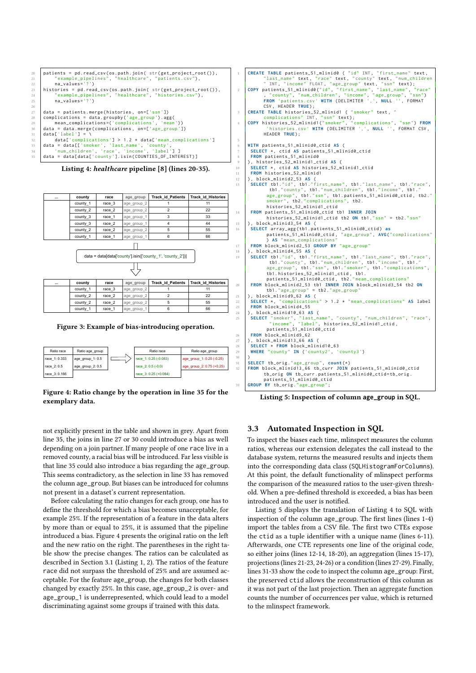```
20 patients = pd. read_csv(os. path. join( str(get_project_root()), "example_pipelines", "healthcare", "patients.csv"),
21 \begin{bmatrix} 21 & \text{``example\_pipelines''}, \text{``healthcare''}, \text{``paths.csv''} \end{bmatrix} na values='?')
\begin{array}{c|c} 22 & \texttt{na_values='?')} \\ 23 & \texttt{histories = pd.read} \end{array}histories = pd.read_csv(os.path.join( str(get_project_root()),<br>"example_pipelines", "healthcare", "histories.csv"),
<sup>24</sup> " example\_pipelines", "healthcare", "histories.csv"),<br>
na\_values='?')na_values='?
26<br>27
27 data = patients merge (histories, on=['ssn'])<br>28 complications = data groupby ('age group') ag
% complications = data.groupby('age_group').agg(<br>29 mean_complications=('complications', 'mean'))<br>data = data.merge(complications, on=['age_group'])
        data['label'] =
32 data ['complications'] > 1.2 * data ['mean_complications'] \frac{1}{3} data = data [['smoker'. 'last name'. 'county'.
33 data = data [[ 'smoker ', 'last_name ', 'county ',
34 ' num_children ', 'race ', 'income ', 'label '] ]
        data = data[data['county'].isin(COUNTIES_OF_INTEREST)]
```
Listing 4: healthcare pipeline [\[8\]](#page-12-1) (lines 20-35).

<span id="page-3-1"></span>

| $\cdots$ | county   | race   | age group   | <b>Track id Patients</b> | <b>Track id Histories</b> |
|----------|----------|--------|-------------|--------------------------|---------------------------|
|          | county_1 | race 3 | age_group_2 |                          | 11                        |
|          | county 2 | race 2 | age_group_2 |                          | 22                        |
|          | county 3 | race 1 | age_group_1 |                          | 33                        |
|          | county 3 | race 2 | age_group_1 |                          | 44                        |
|          | county 2 | race 2 | age_group_2 | 5                        | 55                        |
|          | county_1 | race 1 | age_group_1 | 6                        | 66                        |



 $\Box$ 

| $\cdots$ | county   | race   | age group   | Track id Patients   Track id Histories |  |
|----------|----------|--------|-------------|----------------------------------------|--|
|          | county_1 | race 3 | age_group_2 |                                        |  |
|          | county 2 | race 2 | age_group_2 | 22                                     |  |
|          | county 2 | race 2 | age_group_2 | 55                                     |  |
|          | county_1 | race 1 | age_group_1 | 66                                     |  |

Figure 3: Example of bias-introducing operation.

<span id="page-3-2"></span>

| Ratio race    | Ratio age group  | Ratio race            | Ratio age group           |
|---------------|------------------|-----------------------|---------------------------|
| race 1: 0.333 | age_group_1: 0.5 | race 1: 0.25 (-0.083) | age_group_1: 0.25 (-0.25) |
| race 2:0.5    | age_group_2: 0.5 | race 2: 0.5 (-0.0)    | age_group_2: 0.75 (+0.25) |
| race 3:0.166  |                  | race 3: 0.25 (+0.084) |                           |

Figure 4: Ratio change by the operation in line 35 for the exemplary data.

not explicitly present in the table and shown in grey. Apart from line 35, the joins in line 27 or 30 could introduce a bias as well depending on a join partner. If many people of one race live in a removed county, a racial bias will be introduced. Far less visible is that line 35 could also introduce a bias regarding the age\_group. This seems contradictory, as the selection in line 33 has removed the column age\_group. But biases can be introduced for columns not present in a dataset's current representation.

Before calculating the ratio changes for each group, one has to define the threshold for which a bias becomes unacceptable, for example 25%. If the representation of a feature in the data alters by more than or equal to 25%, it is assumed that the pipeline introduced a bias. [Figure 4](#page-3-2) presents the original ratio on the left and the new ratio on the right. The parentheses in the right table show the precise changes. The ratios can be calculated as described in Section [3.1](#page-2-5) [\(Listing 1,](#page-2-2) [2\)](#page-2-3). The ratios of the feature race did not surpass the threshold of 25% and are assumed acceptable. For the feature age\_group, the changes for both classes changed by exactly 25%. In this case, age\_group\_2 is over- and age\_group\_1 is underrepresented, which could lead to a model discriminating against some groups if trained with this data.

```
The Same of the text, finally in the set of the set of the set of the set of the set of the set of the set of the set of the set of the set of the set of the set of the set of the set of the set of the set of the set of th
                  , " county ", " num_children ", " income ", " age_group ", "ssn")
FROM 'patients .csv ' WITH ( DELIMITER ',', NULL '', FORMAT
                 CSV , HEADER TRUE ) ;
 3 CREATE TABLE histories_52_mlinid1 ( "smoker" text,
 complications " INT , "ssn" text ) ;
4 COPY histories_52_mlinid1 (" smoker ", " complications ", "ssn") FROM
'histories .csv ' WITH ( DELIMITER ',', NULL '', FORMAT CSV ,
                 HEADER TRUE ) ;
5
 6 WITH patients_51_mlinid0_ctid AS (
         7 SELECT * , ctid AS patients_51_mlinid0_ctid
 8 FROM patients_51_mlinid0
9 ) , histories_52_mlinid1_ctid AS (
10 SELECT *, ctid AS histories_52_mlinid1_ctid<br>11 FROM histories_52_mlinid1
), block_mlinid2_53 AS (<br>SELECT tb1."id", tb1."last_name", tb1."last_name", tb1."race",<br>tb1."county", tb1."num_children", tb1."income", tb1."<br>age_group", tb1."ssn", tb1.patients_51_mlinid0_ctid, tb2."
                   smoker", tb2." complications", tb2.
                   histories_52_mlinid1_ctid
14 FROM patients_51_mlinid0_ctid tb1 INNER JOIN
histories_52_mlinid1_ctid tb2 ON tb1 ."ssn" = tb2 ."ssn"
15 ) , block_mlinid3_54 AS (
16 SELECT array_agg ( tb1 . patients_51_mlinid0_ctid ) as
                   patients_51_mlinid0_ctid , " age_group ", AVG(" complications "
) AS " mean_complications "
FROM block_mlinid2_53 GROUP BY "age_group"<br>
SELECT tb1."id", tb1."first_name", tb1."last_name", tb1."race",<br>
SELECT tb1."id", tb1."first_name", tb1."last_name", tb1."race",<br>
tb1."county", tb1."num_children", tb1."income",
patients_51_mlinid0_ctid , tb2 ." mean_complications "
20 FROM block_mlinid2_53 tb1 INNER JOIN block_mlinid3_54 tb2 ON
                   tb1 ." age_group " = tb2 ." age_group "
21 ) , block_mlinid9_62 AS (
22 SELECT *, "complications" > 1.2 * "mean_complications" AS label<br>23 FROM block_mlinid4_55
         23 FROM block_mlinid4_55
24 ) , block_mlinid10_63 AS (
25 SELECT "smoker", "last_name", "county", "num_children", "race",<br>"income", "label", histories_52_mlinid1_ctid,
                   patients_51_mlinid0_ctid
26 FROM block_mlinid9_62<br>27 block_mlinid13_66 A
            27 ) , block_mlinid13_66 AS (
28 SELECT * FROM block_mlinid10_63
29 WHERE " county " IN ('county2 ', 'county3 ')
30 )
31 SELECT tb_orig ." age_group ", count (*)
32 FROM block_mlinid13_66 tb_curr JOIN patients_51_mlinid0_ctid
                  tb_orig ON tb_curr . patients_51_mlinid0_ctid = tb_orig .
patients_51_mlinid0_ctid
       33 GROUP BY tb_orig ." age_group ";
```
Listing 5: Inspection of column **age\_group** in SQL.

# 3.3 Automated Inspection in SQL

To inspect the biases each time, mlinspect measures the column ratios, whereas our extension delegates the call instead to the database system, returns the measured results and injects them into the corresponding data class (SQLHistogramForColumns). At this point, the default functionality of mlinspect performs the comparison of the measured ratios to the user-given threshold. When a pre-defined threshold is exceeded, a bias has been introduced and the user is notified.

[Listing 5](#page-3-3) displays the translation of [Listing 4](#page-3-0) to SQL with inspection of the column age\_group. The first lines (lines 1-4) import the tables from a CSV file. The first two CTEs expose the ctid as a tuple identifier with a unique name (lines 6-11). Afterwards, one CTE represents one line of the original code, so either joins (lines 12-14, 18-20), an aggregation (lines 15-17), projections (lines 21-23, 24-26) or a condition (lines 27-29). Finally, lines 31-33 show the code to inspect the column age\_group: First, the preserved ctid allows the reconstruction of this column as it was not part of the last projection. Then an aggregate function counts the number of occurrences per value, which is returned to the mlinspect framework.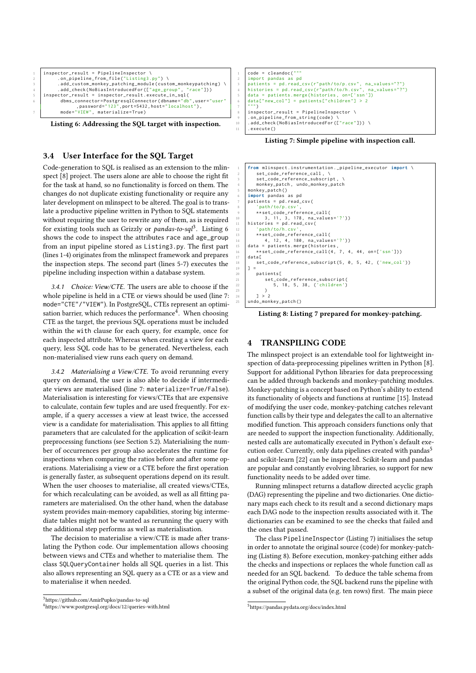<span id="page-4-2"></span>



# 3.4 User Interface for the SQL Target

Code-generation to SQL is realised as an extension to the mlinspect [\[8\]](#page-12-1) project. The users alone are able to choose the right fit for the task at hand, so no functionality is forced on them. The changes do not duplicate existing functionality or require any later development on mlinspect to be altered. The goal is to translate a productive pipeline written in Python to SQL statements without requiring the user to rewrite any of them, as is required for existing tools such as Grizzly or pandas-to-sql<sup>[3](#page-4-1)</sup>. [Listing 6](#page-4-2) shows the code to inspect the attributes race and age\_group from an input pipeline stored as Listing3.py. The first part (lines 1-4) originates from the mlinspect framework and prepares the inspection steps. The second part (lines 5-7) executes the pipeline including inspection within a database system.

3.4.1 Choice: View/CTE. The users are able to choose if the whole pipeline is held in a CTE or views should be used (line 7: mode="CTE"/"VIEW"). In PostgreSQL, CTEs represent an optimi-sation barrier, which reduces the performance<sup>[4](#page-4-3)</sup>. When choosing CTE as the target, the previous SQL operations must be included within the with clause for each query, for example, once for each inspected attribute. Whereas when creating a view for each query, less SQL code has to be generated. Nevertheless, each non-materialised view runs each query on demand.

3.4.2 Materialising a View/CTE. To avoid rerunning every query on demand, the user is also able to decide if intermediate views are materialised (line 7: materialize=True/False). Materialisation is interesting for views/CTEs that are expensive to calculate, contain few tuples and are used frequently. For example, if a query accesses a view at least twice, the accessed view is a candidate for materialisation. This applies to all fitting parameters that are calculated for the application of scikit-learn preprocessing functions (see Section [5.2\)](#page-7-0). Materialising the number of occurrences per group also accelerates the runtime for inspections when comparing the ratios before and after some operations. Materialising a view or a CTE before the first operation is generally faster, as subsequent operations depend on its result. When the user chooses to materialise, all created views/CTEs, for which recalculating can be avoided, as well as all fitting parameters are materialised. On the other hand, when the database system provides main-memory capabilities, storing big intermediate tables might not be wanted as rerunning the query with the additional step performs as well as materialisation.

The decision to materialise a view/CTE is made after translating the Python code. Our implementation allows choosing between views and CTEs and whether to materialise them. The class SQLQueryContainer holds all SQL queries in a list. This also allows representing an SQL query as a CTE or as a view and to materialise it when needed.

<span id="page-4-1"></span>

<span id="page-4-3"></span><sup>4</sup><https://www.postgresql.org/docs/12/queries-with.html>

<span id="page-4-4"></span>

Listing 7: Simple pipeline with inspection call.

<span id="page-4-6"></span>

| from mlinspect.instrumentation._pipeline_executor import \<br>$\mathbf{1}$ |  |
|----------------------------------------------------------------------------|--|
| set_code_reference_call, \<br>2                                            |  |
| set_code_reference_subscript, \<br>3                                       |  |
| monkey_patch, undo_monkey_patch<br>$\overline{4}$                          |  |
| $monkey$ _patch()<br>-5                                                    |  |
| import pandas as pd                                                        |  |
| $patients = pd.read_csv($                                                  |  |
| 'path/to/p.csv',                                                           |  |
| **set_code_reference_call(                                                 |  |
| 3, 11, 3, 178, na_values='?'))                                             |  |
| histories = $pd.read_csv($                                                 |  |
| 'path/to/h.csv',                                                           |  |
| **set_code_reference_call(                                                 |  |
| 4, 12, 4, 180, na_values='?'))                                             |  |
| $data = patients.merge(histories,$                                         |  |
| **set_code_reference_call(4, 7, 4, 44, on=['ssn']))                        |  |
| datal                                                                      |  |
| set_code_reference_subscript(5, 0, 5, 42, ('new_col'))                     |  |
| $1 =$                                                                      |  |
| patients[                                                                  |  |
| set_code_reference_subscript(                                              |  |
| 5, 18, 5, 38, ('children')                                                 |  |
|                                                                            |  |
| 1 > 2                                                                      |  |
| undo_monkey_patch()                                                        |  |

Listing 8: [Listing 7](#page-4-4) prepared for monkey-patching.

# <span id="page-4-0"></span>**TRANSPILING CODE**

The mlinspect project is an extendable tool for lightweight inspection of data-preprocessing pipelines written in Python [\[8\]](#page-12-1). Support for additional Python libraries for data preprocessing can be added through backends and monkey-patching modules. Monkey-patching is a concept based on Python's ability to extend its functionality of objects and functions at runtime [\[15\]](#page-12-44). Instead of modifying the user code, monkey-patching catches relevant function calls by their type and delegates the call to an alternative modified function. This approach considers functions only that are needed to support the inspection functionality. Additionally, nested calls are automatically executed in Python's default exe-cution order. Currently, only data pipelines created with pandas<sup>[5](#page-4-5)</sup> and scikit-learn [\[22\]](#page-12-45) can be inspected. Scikit-learn and pandas are popular and constantly evolving libraries, so support for new functionality needs to be added over time.

Running mlinspect returns a dataflow directed acyclic graph (DAG) representing the pipeline and two dictionaries. One dictionary maps each check to its result and a second dictionary maps each DAG node to the inspection results associated with it. The dictionaries can be examined to see the checks that failed and the ones that passed.

The class PipelineInspector [\(Listing 7\)](#page-4-4) initialises the setup in order to annotate the original source (code) for monkey-patching [\(Listing 8\)](#page-4-6). Before execution, monkey-patching either adds the checks and inspections or replaces the whole function call as needed for an SQL backend. To deduce the table schema from the original Python code, the SQL backend runs the pipeline with a subset of the original data (e.g. ten rows) first. The main piece

<span id="page-4-5"></span> ${\rm ^5}$ <https://pandas.pydata.org/docs/index.html>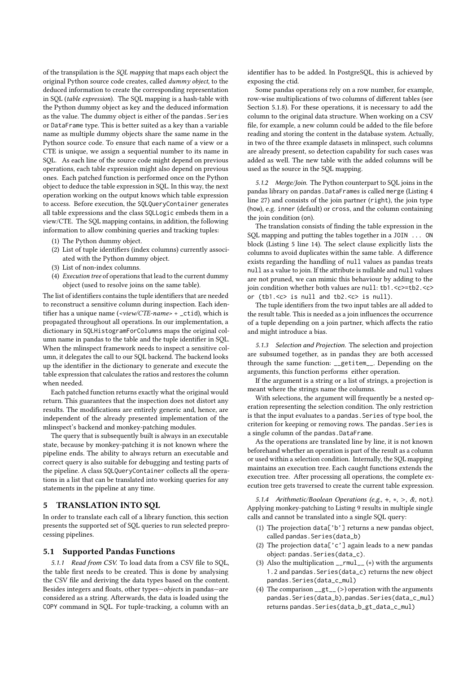of the transpilation is the SQL mapping that maps each object the original Python source code creates, called dummy object, to the deduced information to create the corresponding representation in SQL (table expression). The SQL mapping is a hash-table with the Python dummy object as key and the deduced information as the value. The dummy object is either of the pandas. Series or DataFrame type. This is better suited as a key than a variable name as multiple dummy objects share the same name in the Python source code. To ensure that each name of a view or a CTE is unique, we assign a sequential number to its name in SQL. As each line of the source code might depend on previous operations, each table expression might also depend on previous ones. Each patched function is performed once on the Python object to deduce the table expression in SQL. In this way, the next operation working on the output knows which table expression to access. Before execution, the SQLQueryContainer generates all table expressions and the class SQLLogic embeds them in a view/CTE. The SQL mapping contains, in addition, the following information to allow combining queries and tracking tuples:

- (1) The Python dummy object.
- (2) List of tuple identifiers (index columns) currently associated with the Python dummy object.
- (3) List of non-index columns.
- (4) Execution tree of operations that lead to the current dummy object (used to resolve joins on the same table).

The list of identifiers contains the tuple identifiers that are needed to reconstruct a sensitive column during inspection. Each identifier has a unique name (<view/CTE-name> + \_ctid), which is propagated throughout all operations. In our implementation, a dictionary in SQLHistogramForColumns maps the original column name in pandas to the table and the tuple identifier in SQL. When the mlinspect framework needs to inspect a sensitive column, it delegates the call to our SQL backend. The backend looks up the identifier in the dictionary to generate and execute the table expression that calculates the ratios and restores the column when needed.

Each patched function returns exactly what the original would return. This guarantees that the inspection does not distort any results. The modifications are entirely generic and, hence, are independent of the already presented implementation of the mlinspect's backend and monkey-patching modules.

The query that is subsequently built is always in an executable state, because by monkey-patching it is not known where the pipeline ends. The ability to always return an executable and correct query is also suitable for debugging and testing parts of the pipeline. A class SQLQueryContainer collects all the operations in a list that can be translated into working queries for any statements in the pipeline at any time.

# <span id="page-5-0"></span>5 TRANSLATION INTO SQL

In order to translate each call of a library function, this section presents the supported set of SQL queries to run selected preprocessing pipelines.

# 5.1 Supported Pandas Functions

5.1.1 Read from CSV. To load data from a CSV file to SQL, the table first needs to be created. This is done by analysing the CSV file and deriving the data types based on the content. Besides integers and floats, other types—objects in pandas—are considered as a string. Afterwards, the data is loaded using the COPY command in SQL. For tuple-tracking, a column with an

identifier has to be added. In PostgreSQL, this is achieved by exposing the ctid.

Some pandas operations rely on a row number, for example, row-wise multiplications of two columns of different tables (see Section [5.1.8\)](#page-6-0). For these operations, it is necessary to add the column to the original data structure. When working on a CSV file, for example, a new column could be added to the file before reading and storing the content in the database system. Actually, in two of the three example datasets in mlinspect, such columns are already present, so detection capability for such cases was added as well. The new table with the added columns will be used as the source in the SQL mapping.

5.1.2 Merge/Join. The Python counterpart to SQL joins in the pandas library on pandas.DataFrames is called merge [\(Listing 4](#page-3-0) line 27) and consists of the join partner (right), the join type (how), e.g. inner (default) or cross, and the column containing the join condition (on).

The translation consists of finding the table expression in the SQL mapping and putting the tables together in a JOIN ... ON block [\(Listing 5](#page-3-3) line 14). The select clause explicitly lists the columns to avoid duplicates within the same table. A difference exists regarding the handling of null values as pandas treats null as a value to join. If the attribute is nullable and null values are not pruned, we can mimic this behaviour by adding to the join condition whether both values are null: tb1.<c>=tb2.<c> or (tb1.<c> is null and tb2.<c> is null).

The tuple identifiers from the two input tables are all added to the result table. This is needed as a join influences the occurrence of a tuple depending on a join partner, which affects the ratio and might introduce a bias.

5.1.3 Selection and Projection. The selection and projection are subsumed together, as in pandas they are both accessed through the same function: \_\_getitem\_\_. Depending on the arguments, this function performs either operation.

If the argument is a string or a list of strings, a projection is meant where the strings name the columns.

With selections, the argument will frequently be a nested operation representing the selection condition. The only restriction is that the input evaluates to a pandas. Series of type bool, the criterion for keeping or removing rows. The pandas.Series is a single column of the pandas.DataFrame.

As the operations are translated line by line, it is not known beforehand whether an operation is part of the result as a column or used within a selection condition. Internally, the SQL mapping maintains an execution tree. Each caught functions extends the execution tree. After processing all operations, the complete execution tree gets traversed to create the current table expression.

5.1.4 Arithmetic/Boolean Operations (e.g., +, ∗, >, &, not). Applying monkey-patching to [Listing 9](#page-6-1) results in multiple single calls and cannot be translated into a single SQL query:

- (1) The projection data['b'] returns a new pandas object, called pandas.Series(data\_b)
- (2) The projection data['c'] again leads to a new pandas object: pandas.Series(data\_c).
- (3) Also the multiplication  $\text{__rmul__} (*)$  with the arguments 1.2 and pandas.Series(data\_c) returns the new object pandas.Series(data\_c\_mul)
- (4) The comparison  $_{\text{f}}(z)$  operation with the arguments pandas.Series(data\_b), pandas.Series(data\_c\_mul) returns pandas.Series(data\_b\_gt\_data\_c\_mul)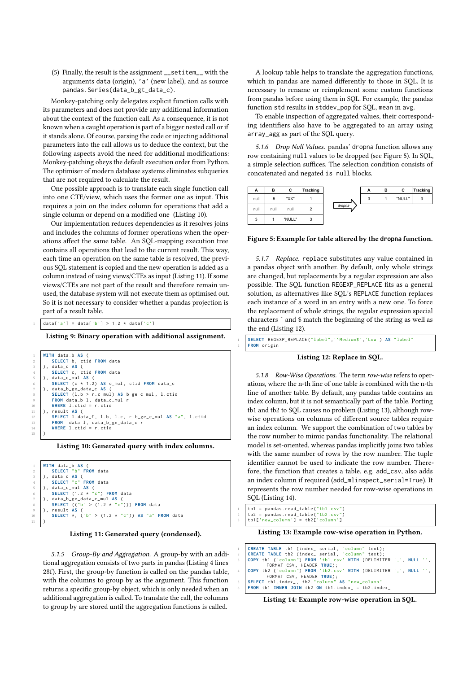(5) Finally, the result is the assignment \_\_setitem\_\_ with the arguments data (origin), 'a' (new label), and as source pandas.Series(data\_b\_gt\_data\_c).

Monkey-patching only delegates explicit function calls with its parameters and does not provide any additional information about the context of the function call. As a consequence, it is not known when a caught operation is part of a bigger nested call or if it stands alone. Of course, parsing the code or injecting additional parameters into the call allows us to deduce the context, but the following aspects avoid the need for additional modifications: Monkey-patching obeys the default execution order from Python. The optimiser of modern database systems eliminates subqueries that are not required to calculate the result.

One possible approach is to translate each single function call into one CTE/view, which uses the former one as input. This requires a join on the index column for operations that add a single column or depend on a modified one [\(Listing 10\)](#page-6-2).

Our implementation reduces dependencies as it resolves joins and includes the columns of former operations when the operations affect the same table. An SQL-mapping execution tree contains all operations that lead to the current result. This way, each time an operation on the same table is resolved, the previous SQL statement is copied and the new operation is added as a column instead of using views/CTEs as input [\(Listing 11\)](#page-6-3). If some views/CTEs are not part of the result and therefore remain unused, the database system will not execute them as optimised out. So it is not necessary to consider whether a pandas projection is part of a result table.

```
data['a'] = data['b'] > 1.2 * data['c']
```
Listing 9: Binary operation with additional assignment.

```
1 WITH data_b AS (
 2 SELECT b , ctid FROM data
3 ) , data_c AS (
 4 SELECT c , ctid FROM data
5 ) , data_c_mul AS (
6 SELECT ( c * 1.2) AS c_mul , ctid FROM data_c
7 ) , data_b_ge_data_c AS (
8 SELECT ( l . b > r . c_mul ) AS b_ge_c_mul , l . ctid
9 FROM data_b l , data_c_mul r
10 WHERE l . ctid = r . ctid
11 \quad \Box result AS \Box12 SELECT l . data_f , l .b , l .c , r . b_ge_c_mul AS "a", l . ctid
13 FROM data 1, data_b_ge_data_c r<br>14 WHERE 1.ctid = r.ctid
15 )
```
Listing 10: Generated query with index columns.

```
1 WITH data_b AS (
 2 SELECT "b" FROM data
3 ) , data_c AS (
4 SELECT "c" FROM data
 5 ) , data_c_mul AS (
6 SELECT (1.2 * "c") FROM data
     7 ) , data_b_ge_data_c_mul AS (
 8 SELECT (("b" > (1.2 * "c") ) ) FROM data
9 ) , result AS (
          10 SELECT * , ("b" > (1.2 * "c") ) AS "a" FROM data
11
```
Listing 11: Generated query (condensed).

5.1.5 Group-By and Aggregation. A group-by with an additional aggregation consists of two parts in pandas [\(Listing 4](#page-3-0) lines 28f). First, the group-by function is called on the pandas table, with the columns to group by as the argument. This function returns a specific group-by object, which is only needed when an additional aggregation is called. To translate the call, the columns to group by are stored until the aggregation functions is called.

A lookup table helps to translate the aggregation functions, which in pandas are named differently to those in SQL. It is necessary to rename or reimplement some custom functions from pandas before using them in SQL. For example, the pandas function std results in stddev\_pop for SQL, mean in avg.

To enable inspection of aggregated values, their corresponding identifiers also have to be aggregated to an array using array\_agg as part of the SQL query.

5.1.6 Drop Null Values. pandas' dropna function allows any row containing null values to be dropped (see [Figure 5\)](#page-6-4). In SQL, a simple selection suffices. The selection condition consists of concatenated and negated is null blocks.

<span id="page-6-4"></span>

| А    | в    | С      | <b>Tracking</b> |        | А | в | С      | <b>Tracking</b> |
|------|------|--------|-----------------|--------|---|---|--------|-----------------|
| null | -5   | "XX"   |                 |        | 3 |   | "NULL" | 3               |
| null | null | null   | ۷               | dropna |   |   |        |                 |
| 3    |      | "NULL" | 3               |        |   |   |        |                 |

Figure 5: Example for table altered by the **dropna** function.

5.1.7 Replace. replace substitutes any value contained in a pandas object with another. By default, only whole strings are changed, but replacements by a regular expression are also possible. The SQL function REGEXP\_REPLACE fits as a general solution, as alternatives like SQL's REPLACE function replaces each instance of a word in an entry with a new one. To force the replacement of whole strings, the regular expression special characters ˆ and \$ match the beginning of the string as well as the end [\(Listing 12\)](#page-6-5).

<span id="page-6-5"></span>

| 1 SELECT REGEXP_REPLACE("label",'^Medium\$','Low') AS "label" |
|---------------------------------------------------------------|
| 2 FROM origin                                                 |

Listing 12: Replace in SQL.

<span id="page-6-0"></span>5.1.8 Row-Wise Operations. The term row-wise refers to operations, where the n-th line of one table is combined with the n-th line of another table. By default, any pandas table contains an index column, but it is not semantically part of the table. Porting tb1 and tb2 to SQL causes no problem [\(Listing 13\)](#page-6-6), although rowwise operations on columns of different source tables require an index column. We support the combination of two tables by the row number to mimic pandas functionality. The relational model is set-oriented, whereas pandas implicitly joins two tables with the same number of rows by the row number. The tuple identifier cannot be used to indicate the row number. Therefore, the function that creates a table, e.g. add\_csv, also adds an index column if required (add\_mlinspect\_serial=True). It represents the row number needed for row-wise operations in SQL [\(Listing 14\)](#page-6-7).

<span id="page-6-6"></span>1 tb1 = pandas . read\_table ("tb1.csv")  $tb2 =$  pandas . read  $table('th2.csv")$  $\text{tb1}$  ['new\_column'] =  $\text{tb2}$  ['column']

Listing 13: Example row-wise operation in Python.

<span id="page-6-7"></span>

| 1 CREATE TABLE tb1 (index_ serial, "column" text);                 |
|--------------------------------------------------------------------|
| 2 CREATE TABLE tb2 (index_ serial, "column" text);                 |
| 3 COPY tb1 ("column") FROM 'tb1.csv' WITH (DELIMITER ',', NULL '', |
| FORMAT CSV, HEADER TRUE);                                          |
| 4 COPY tb2 ("column") FROM 'tb2.csv' WITH (DELIMITER ',', NULL '', |
| FORMAT CSV. HEADER TRUE):                                          |
| 5   SELECT tb1.index_, tb2."column" AS "new_column"                |
| $6$ FROM tb1 INNER JOIN tb2 ON tb1.index_ = tb2.index_             |

Listing 14: Example row-wise operation in SQL.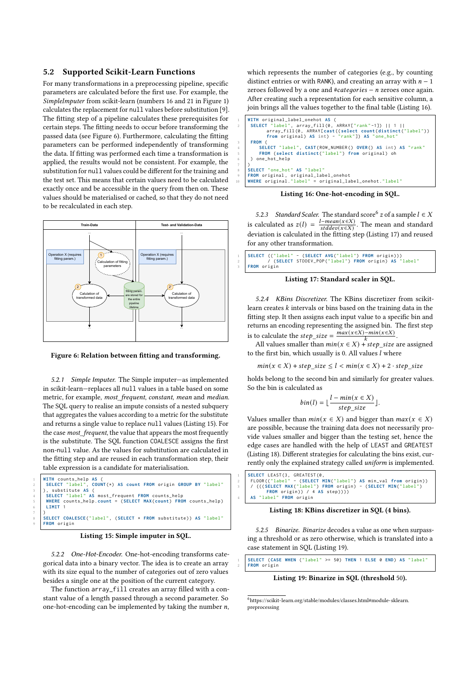#### <span id="page-7-0"></span>5.2 Supported Scikit-Learn Functions

For many transformations in a preprocessing pipeline, specific parameters are calculated before the first use. For example, the SimpleImputer from scikit-learn (numbers 16 and 21 in [Figure 1\)](#page-0-0) calculates the replacement for null values before substitution [\[9\]](#page-12-46). The fitting step of a pipeline calculates these prerequisites for certain steps. The fitting needs to occur before transforming the passed data (see [Figure 6\)](#page-7-1). Furthermore, calculating the fitting parameters can be performed independently of transforming the data. If fitting was performed each time a transformation is applied, the results would not be consistent. For example, the substitution for null values could be different for the training and the test set. This means that certain values need to be calculated exactly once and be accessible in the query from then on. These values should be materialised or cached, so that they do not need to be recalculated in each step.

<span id="page-7-1"></span>

Figure 6: Relation between fitting and transforming.

5.2.1 Simple Imputer. The Simple imputer—as implemented in scikit-learn—replaces all null values in a table based on some metric, for example, most\_frequent, constant, mean and median. The SQL query to realise an impute consists of a nested subquery that aggregates the values according to a metric for the substitute and returns a single value to replace null values [\(Listing 15\)](#page-7-2). For the case most\_frequent, the value that appears the most frequently is the substitute. The SQL function COALESCE assigns the first non-null value. As the values for substitution are calculated in the fitting step and are reused in each transformation step, their table expression is a candidate for materialisation.

<span id="page-7-2"></span>

|                         | WITH counts_help AS (                                                                                     |
|-------------------------|-----------------------------------------------------------------------------------------------------------|
|                         | $_2$   SELECT "label", COUNT(*) AS count FROM origin GROUP BY "label"                                     |
| $\overline{\mathbf{3}}$ | ), substitute AS (                                                                                        |
|                         | 4 SELECT "label" AS most_frequent FROM counts_help<br>5 WHERE counts_help.count = (SELECT MAX(count) FROM |
|                         | WHERE counts_help.count = (SELECT MAX(count) FROM counts_help)                                            |
|                         | $\begin{array}{c c} 6 & \text{LIMIT} & 1 \\ \end{array}$                                                  |
|                         |                                                                                                           |
|                         | 8 SELECT COALESCE("label", (SELECT * FROM substitute)) AS "label"                                         |
|                         | 9   FROM origin                                                                                           |
|                         |                                                                                                           |



5.2.2 One-Hot-Encoder. One-hot-encoding transforms categorical data into a binary vector. The idea is to create an array with its size equal to the number of categories out of zero values besides a single one at the position of the current category.

The function array\_fill creates an array filled with a constant value of a length passed through a second parameter. So one-hot-encoding can be implemented by taking the number  $n$ ,

which represents the number of categories (e.g., by counting distinct entries or with RANK), and creating an array with  $n - 1$ zeroes followed by a one and  $# categories - n$  zeroes once again. After creating such a representation for each sensitive column, a join brings all the values together to the final table [\(Listing 16\)](#page-7-3).

<span id="page-7-3"></span>

Listing 16: One-hot-encoding in SQL.

5.2.3 Standard Scaler. The standard score  $6z$  $6z$  of a sample  $l \in X$ is calculated as  $z(l) = \frac{l - mean(x \in X)}{stddev(x \in Y)}$  $\frac{e-mean(x \in X)}{stddev(x \in X)}$ . The mean and standard deviation is calculated in the fitting step [\(Listing 17\)](#page-7-5) and reused for any other transformation.

<span id="page-7-5"></span>

|  | 1 SELECT (("label" - (SELECT AVG("label") FROM origin)))                   |
|--|----------------------------------------------------------------------------|
|  | 2 / (SELECT STDDEV_POP("label") FROM origin) AS "label"<br>3 / FROM origin |
|  |                                                                            |



5.2.4 KBins Discretizer. The KBins discretizer from scikitlearn creates  $k$  intervals or bins based on the training data in the fitting step. It then assigns each input value to a specific bin and returns an encoding representing the assigned bin. The first step is to calculate the  $step\_size = \frac{max(x \in X) - min(x \in X)}{k}$ .

All values smaller than  $min(x \in X) + step\_size$  are assigned to the first bin, which usually is 0. All values  $l$  where

 $min(x \in X) + step\_size \le l < min(x \in X) + 2 \cdot step\_size$ 

holds belong to the second bin and similarly for greater values. So the bin is calculated as

$$
bin(l) = \lfloor \frac{l - \min(x \in X)}{step\_size} \rfloor.
$$

Values smaller than  $min(x \in X)$  and bigger than  $max(x \in X)$ are possible, because the training data does not necessarily provide values smaller and bigger than the testing set, hence the edge cases are handled with the help of LEAST and GREATEST [\(Listing 18\)](#page-7-6). Different strategies for calculating the bins exist, currently only the explained strategy called uniform is implemented.

<span id="page-7-6"></span>

#### Listing 18: KBins discretizer in SQL (4 bins).

5.2.5 Binarize. Binarize decodes a value as one when surpassing a threshold or as zero otherwise, which is translated into a case statement in SQL [\(Listing 19\)](#page-7-7).

<span id="page-7-7"></span>

| 1 SELECT (CASE WHEN ("label" >= 50) THEN 1 ELSE 0 END) AS "label" |  |  |  |  |  |  |
|-------------------------------------------------------------------|--|--|--|--|--|--|
| 2 FROM origin                                                     |  |  |  |  |  |  |

Listing 19: Binarize in SQL (threshold 50).

<span id="page-7-4"></span> $^6$ [https://scikit-learn.org/stable/modules/classes.html#module-sklearn.](https://scikit-learn.org/stable/modules/classes.html#module-sklearn.preprocessing) [preprocessing](https://scikit-learn.org/stable/modules/classes.html#module-sklearn.preprocessing)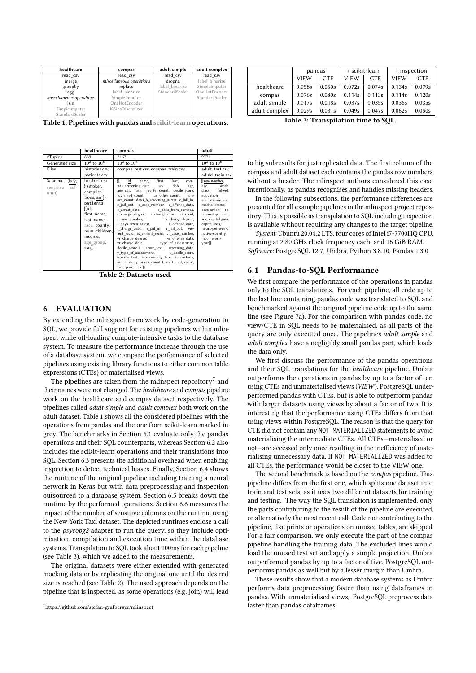<span id="page-8-2"></span>

| healthcare               | compas                   | adult simple   | adult complex  |  |
|--------------------------|--------------------------|----------------|----------------|--|
| read csv                 | read csv                 | read csv       | read csv       |  |
| merge                    | miscellaneous operations | dropna         | label binarize |  |
| groupby                  | replace                  | label binarize | SimpleImputer  |  |
| agg                      | label binarize           | StandardScaler | OneHotEncoder  |  |
| miscellaneous operations | SimpleImputer            |                | StandardScaler |  |
| isin                     | OneHotEncoder            |                |                |  |
| SimpleImputer            | KBinsDiscretizer         |                |                |  |
| StandardScaler           |                          |                |                |  |

Table 1: Pipelines with pandas and scikit-learn operations.

<span id="page-8-5"></span>

|                                    | healthcare     | compas                                                                                     | adult                        |
|------------------------------------|----------------|--------------------------------------------------------------------------------------------|------------------------------|
| #Tuples                            | 889            | 2167                                                                                       | 9771                         |
| $10^2$ to $10^6$<br>Generated size |                | $10^2$ to $10^6$                                                                           | $10^2$ to $10^6$             |
| Files                              | histories.csv, | compas_test.csv, compas_train.csv                                                          | adult test.csv.              |
|                                    | patients.csv   |                                                                                            | aduld_train.csv              |
| Schema<br>(key,                    | histories:     | ſſ.<br>id,<br>first,<br>last,<br>name.<br>com-                                             | {[row-number,                |
| $col-$<br>sensitive                | {[smoker,      | dob,<br>pas screening date, sex,<br>age,                                                   | work-<br>age,                |
| umn)                               | complica-      | age_cat, race, juv_fel_count, decile_score,                                                | class, fnlwgt,<br>education. |
|                                    | tions, ssn]}   | juv misd count, juv other count,<br>pri-<br>ors count, days b screening arrest, c jail in, | education-num,               |
|                                    | patients:      | c jail out, c case number, c offense date,                                                 | marital-status,              |
|                                    | {[id,          | c arrest date, c days from compas,                                                         | occupation, re-              |
|                                    | first name,    | c charge degree, c charge desc, is recid,                                                  | lationship, race,            |
|                                    | last name,     | r_case_number,<br>r charge degree,                                                         | sex, capital-gain,           |
|                                    | race, county,  | r_days_from_arrest, https://effense_date,                                                  | capital-loss,                |
|                                    |                | r charge desc, r jail in, r jail out, vio-                                                 | hours-per-week,              |
|                                    | num children,  | lent_recid, is_violent_recid, vr_case_number,                                              | native-country,              |
|                                    | income,        | vr charge degree, vr offense date,                                                         | income-per-                  |
|                                    | age_group,     | vr_charge_desc, type_of_assessment,                                                        | year]}                       |
|                                    | $ssn$ ]}       | decile score.1, score text, screening date,                                                |                              |
|                                    |                | v type of assessment, v decile score,                                                      |                              |
|                                    |                | v score text, v screening date, in custody,                                                |                              |
|                                    |                | out custody, priors count.1, start, end, event,                                            |                              |
|                                    |                | two year recid]}                                                                           |                              |

Table 2: Datasets used.

### <span id="page-8-0"></span>6 EVALUATION

By extending the mlinspect framework by code-generation to SQL, we provide full support for existing pipelines within mlinspect while off-loading compute-intensive tasks to the database system. To measure the performance increase through the use of a database system, we compare the performance of selected pipelines using existing library functions to either common table expressions (CTEs) or materialised views.

The pipelines are taken from the mlinspect repository $^7$  $^7$  and their names were not changed. The healthcare and compas pipeline work on the healthcare and compas dataset respectively. The pipelines called adult simple and adult complex both work on the adult dataset. [Table 1](#page-8-2) shows all the considered pipelines with the operations from pandas and the one from scikit-learn marked in grey. The benchmarks in Section [6.1](#page-8-3) evaluate only the pandas operations and their SQL counterparts, whereas Section [6.2](#page-10-0) also includes the scikit-learn operations and their translations into SQL. Section [6.3](#page-10-1) presents the additional overhead when enabling inspection to detect technical biases. Finally, Section [6.4](#page-10-2) shows the runtime of the original pipeline including training a neural network in Keras but with data preprocessing and inspection outsourced to a database system. Section [6.5](#page-11-1) breaks down the runtime by the performed operations. Section [6.6](#page-11-2) measures the impact of the number of sensitive columns on the runtime using the New York Taxi dataset. The depicted runtimes enclose a call to the psycopg2 adapter to run the query, so they include optimisation, compilation and execution time within the database systems. Transpilation to SQL took about 100ms for each pipeline (see [Table 3\)](#page-8-4), which we added to the measurements.

The original datasets were either extended with generated mocking data or by replicating the original one until the desired size is reached (see [Table 2\)](#page-8-5). The used approach depends on the pipeline that is inspected, as some operations (e.g. join) will lead

<span id="page-8-4"></span>

|               | pandas      |            | + scikit-learn |            | + inspection |            |
|---------------|-------------|------------|----------------|------------|--------------|------------|
|               | <b>VIEW</b> | <b>CTE</b> | <b>VIEW</b>    | <b>CTE</b> | <b>VIEW</b>  | <b>CTE</b> |
| healthcare    | 0.058s      | 0.050s     | 0.072s         | 0.074s     | 0.134s       | 0.079s     |
| compas        | 0.076s      | 0.080s     | 0.114s         | 0.113s     | 0.114s       | 0.120s     |
| adult simple  | 0.017s      | 0.018s     | 0.037s         | 0.035s     | 0.036s       | 0.035s     |
| adult complex | 0.029s      | 0.031s     | 0.049s         | 0.047s     | 0.062s       | 0.050s     |

Table 3: Transpilation time to SQL.

to big subresults for just replicated data. The first column of the compas and adult dataset each contains the pandas row numbers without a header. The mlinspect authors considered this case intentionally, as pandas recognises and handles missing headers.

In the following subsections, the performance differences are presented for all example pipelines in the mlinspect project repository. This is possible as transpilation to SQL including inspection is available without requiring any changes to the target pipeline.

System: Ubuntu 20.04.2 LTS, four cores of Intel i7-7700HQ CPU, running at 2.80 GHz clock frequency each, and 16 GiB RAM. Software: PostgreSQL 12.7, Umbra, Python 3.8.10, Pandas 1.3.0

#### <span id="page-8-3"></span>6.1 Pandas-to-SQL Performance

We first compare the performance of the operations in pandas only to the SQL translations. For each pipeline, all code up to the last line containing pandas code was translated to SQL and benchmarked against the original pipeline code up to the same line (see [Figure 7a](#page-9-0)). For the comparison with pandas code, no view/CTE in SQL needs to be materialised, as all parts of the query are only executed once. The pipelines adult simple and adult complex have a negligibly small pandas part, which loads the data only.

We first discuss the performance of the pandas operations and their SQL translations for the healthcare pipeline. Umbra outperforms the operations in pandas by up to a factor of ten using CTEs and unmaterialised views (VIEW). PostgreSQL underperformed pandas with CTEs, but is able to outperform pandas with larger datasets using views by about a factor of two. It is interesting that the performance using CTEs differs from that using views within PostgreSQL. The reason is that the query for CTE did not contain any NOT MATERIALIZED statements to avoid materialising the intermediate CTEs. All CTEs—materialised or not—are accessed only once resulting in the inefficiency of materialising unnecessary data. If NOT MATERIALIZED was added to all CTEs, the performance would be closer to the VIEW one.

The second benchmark is based on the compas pipeline. This pipeline differs from the first one, which splits one dataset into train and test sets, as it uses two different datasets for training and testing. The way the SQL translation is implemented, only the parts contributing to the result of the pipeline are executed, or alternatively the most recent call. Code not contributing to the pipeline, like prints or operations on unused tables, are skipped. For a fair comparison, we only execute the part of the compas pipeline handling the training data. The excluded lines would load the unused test set and apply a simple projection. Umbra outperformed pandas by up to a factor of five. PostgreSQL outperforms pandas as well but by a lesser margin than Umbra.

These results show that a modern database systems as Umbra performs data preprocessing faster than using dataframes in pandas. With unmaterialised views, PostgreSQL preprocess data faster than pandas dataframes.

<span id="page-8-1"></span> $7$ <https://github.com/stefan-grafberger/mlinspect>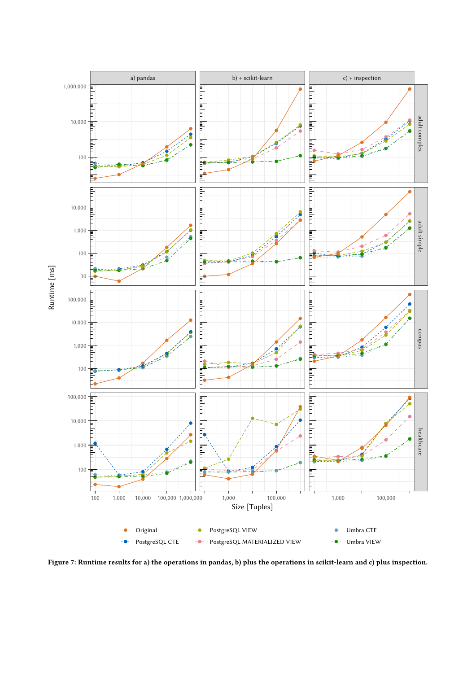<span id="page-9-0"></span>

Figure 7: Runtime results for a) the operations in pandas, b) plus the operations in scikit-learn and c) plus inspection.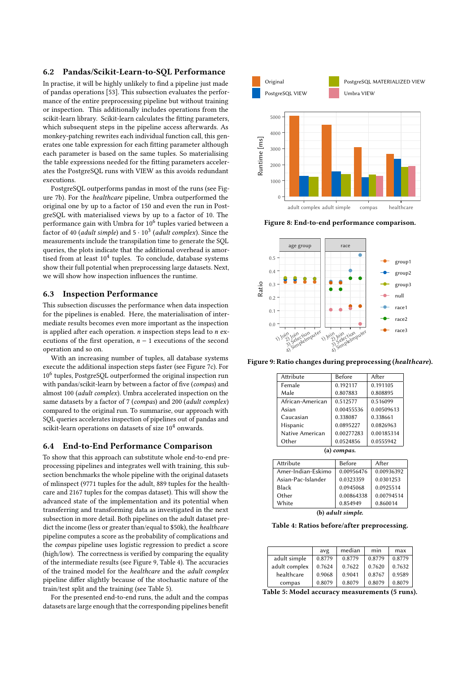# <span id="page-10-0"></span>6.2 Pandas/Scikit-Learn-to-SQL Performance

In practise, it will be highly unlikely to find a pipeline just made of pandas operations [\[53\]](#page-12-47). This subsection evaluates the performance of the entire preprocessing pipeline but without training or inspection. This additionally includes operations from the scikit-learn library. Scikit-learn calculates the fitting parameters, which subsequent steps in the pipeline access afterwards. As monkey-patching rewrites each individual function call, this generates one table expression for each fitting parameter although each parameter is based on the same tuples. So materialising the table expressions needed for the fitting parameters accelerates the PostgreSQL runs with VIEW as this avoids redundant executions.

PostgreSQL outperforms pandas in most of the runs (see [Fig](#page-9-0)[ure 7b](#page-9-0)). For the healthcare pipeline, Umbra outperformed the original one by up to a factor of 150 and even the run in PostgreSQL with materialised views by up to a factor of 10. The performance gain with Umbra for 10 $^6$  tuples varied between a factor of 40 (*adult simple*) and 5  $\cdot$  10<sup>3</sup> (*adult complex*). Since the measurements include the transpilation time to generate the SQL queries, the plots indicate that the additional overhead is amortised from at least  $10^4$  tuples. To conclude, database systems show their full potential when preprocessing large datasets. Next, we will show how inspection influences the runtime.

# <span id="page-10-1"></span>6.3 Inspection Performance

This subsection discusses the performance when data inspection for the pipelines is enabled. Here, the materialisation of intermediate results becomes even more important as the inspection is applied after each operation.  $n$  inspection steps lead to  $n$  executions of the first operation,  $n - 1$  executions of the second operation and so on.

With an increasing number of tuples, all database systems execute the additional inspection steps faster (see [Figure 7c](#page-9-0)). For 10<sup>6</sup> tuples, PostgreSQL outperformed the original inspection run with pandas/scikit-learn by between a factor of five (compas) and almost 100 (adult complex). Umbra accelerated inspection on the same datasets by a factor of 7 (compas) and 200 (adult complex) compared to the original run. To summarise, our approach with SQL queries accelerates inspection of pipelines out of pandas and scikit-learn operations on datasets of size  $10^4$  onwards.

### <span id="page-10-2"></span>6.4 End-to-End Performance Comparison

To show that this approach can substitute whole end-to-end preprocessing pipelines and integrates well with training, this subsection benchmarks the whole pipeline with the original datasets of mlinspect (9771 tuples for the adult, 889 tuples for the healthcare and 2167 tuples for the compas dataset). This will show the advanced state of the implementation and its potential when transferring and transforming data as investigated in the next subsection in more detail. Both pipelines on the adult dataset predict the income (less or greater than/equal to \$50k), the healthcare pipeline computes a score as the probability of complications and the compas pipeline uses logistic regression to predict a score (high/low). The correctness is verified by comparing the equality of the intermediate results (see [Figure 9,](#page-10-3) [Table 4\)](#page-10-4). The accuracies of the trained model for the healthcare and the adult complex pipeline differ slightly because of the stochastic nature of the train/test split and the training (see [Table 5\)](#page-10-5).

For the presented end-to-end runs, the adult and the compas datasets are large enough that the corresponding pipelines benefit

<span id="page-10-6"></span>

Figure 8: End-to-end performance comparison.

<span id="page-10-3"></span>

<span id="page-10-4"></span>Figure 9: Ratio changes during preprocessing (healthcare).

| Attribute        | <b>Before</b> | After      |  |  |
|------------------|---------------|------------|--|--|
| Female           | 0.192117      | 0.191105   |  |  |
| Male             | 0.807883      | 0.808895   |  |  |
| African-American | 0.512577      | 0.516099   |  |  |
| Asian            | 0.00455536    | 0.00509613 |  |  |
| Caucasian        | 0.338087      | 0.338661   |  |  |
| Hispanic         | 0.0895227     | 0.0826963  |  |  |
| Native American  | 0.00277283    | 0.00185314 |  |  |
| Other            | 0.0524856     | 0.0555942  |  |  |
| compas.<br>(a)   |               |            |  |  |

| <b>Before</b> | After      |  |
|---------------|------------|--|
| 0.00956476    | 0.00936392 |  |
| 0.0323359     | 0.0301253  |  |
| 0.0945068     | 0.0925514  |  |
| 0.00864338    | 0.00794514 |  |
| 0.854949      | 0.860014   |  |
|               |            |  |

(b) adult simple.

Table 4: Ratios before/after preprocessing.

<span id="page-10-5"></span>

|               | avg    | median | min    | max    |
|---------------|--------|--------|--------|--------|
| adult simple  | 0.8779 | 0.8779 | 0.8779 | 0.8779 |
| adult complex | 0.7624 | 0.7622 | 0.7620 | 0.7632 |
| healthcare    | 0.9068 | 0.9041 | 0.8767 | 0.9589 |
| compas        | 0.8079 | 0.8079 | 0.8079 | 0.8079 |

Table 5: Model accuracy measurements (5 runs).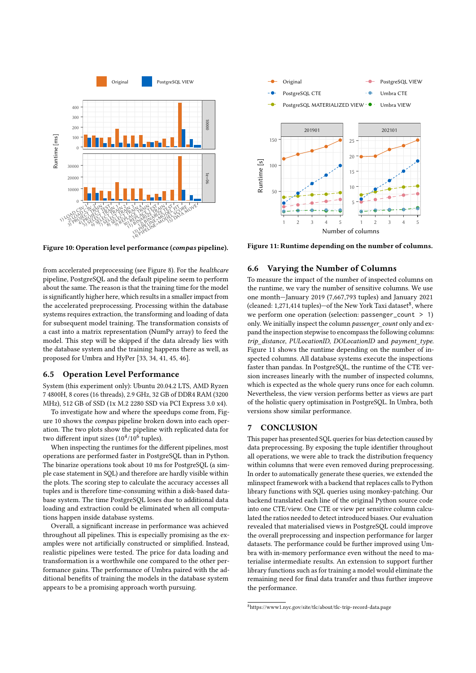<span id="page-11-3"></span>

Figure 10: Operation level performance (compas pipeline).

from accelerated preprocessing (see [Figure 8\)](#page-10-6). For the healthcare pipeline, PostgreSQL and the default pipeline seem to perform about the same. The reason is that the training time for the model is significantly higher here, which results in a smaller impact from the accelerated preprocessing. Processing within the database systems requires extraction, the transforming and loading of data for subsequent model training. The transformation consists of a cast into a matrix representation (NumPy array) to feed the model. This step will be skipped if the data already lies with the database system and the training happens there as well, as proposed for Umbra and HyPer [\[33,](#page-12-48) [34,](#page-12-49) [41,](#page-12-50) [45,](#page-12-51) [46\]](#page-12-52).

# <span id="page-11-1"></span>6.5 Operation Level Performance

System (this experiment only): Ubuntu 20.04.2 LTS, AMD Ryzen 7 4800H, 8 cores (16 threads), 2.9 GHz, 32 GB of DDR4 RAM (3200 MHz), 512 GB of SSD (1x M.2 2280 SSD via PCI Express 3.0 x4).

To investigate how and where the speedups come from, [Fig](#page-11-3)[ure 10](#page-11-3) shows the compas pipeline broken down into each operation. The two plots show the pipeline with replicated data for two different input sizes  $(10^4/10^6$  tuples).

When inspecting the runtimes for the different pipelines, most operations are performed faster in PostgreSQL than in Python. The binarize operations took about 10 ms for PostgreSQL (a simple case statement in SQL) and therefore are hardly visible within the plots. The scoring step to calculate the accuracy accesses all tuples and is therefore time-consuming within a disk-based database system. The time PostgreSQL loses due to additional data loading and extraction could be eliminated when all computations happen inside database systems.

Overall, a significant increase in performance was achieved throughout all pipelines. This is especially promising as the examples were not artificially constructed or simplified. Instead, realistic pipelines were tested. The price for data loading and transformation is a worthwhile one compared to the other performance gains. The performance of Umbra paired with the additional benefits of training the models in the database system appears to be a promising approach worth pursuing.

<span id="page-11-5"></span>

Figure 11: Runtime depending on the number of columns.

# <span id="page-11-2"></span>6.6 Varying the Number of Columns

To measure the impact of the number of inspected columns on the runtime, we vary the number of sensitive columns. We use one month—January 2019 (7,667,793 tuples) and January 2021 (cleaned: 1,271,414 tuples)-of the New York Taxi dataset<sup>[8](#page-11-4)</sup>, where we perform one operation (selection: passenger\_count > 1) only. We initially inspect the column passenger\_count only and expand the inspection stepwise to encompass the following columns: trip\_distance, PULocationID, DOLocationID and payment type. [Figure 11](#page-11-5) shows the runtime depending on the number of inspected columns. All database systems execute the inspections faster than pandas. In PostgreSQL, the runtime of the CTE version increases linearly with the number of inspected columns, which is expected as the whole query runs once for each column. Nevertheless, the view version performs better as views are part of the holistic query optimisation in PostgreSQL. In Umbra, both versions show similar performance.

## <span id="page-11-0"></span>7 CONCLUSION

This paper has presented SQL queries for bias detection caused by data preprocessing. By exposing the tuple identifier throughout all operations, we were able to track the distribution frequency within columns that were even removed during preprocessing. In order to automatically generate these queries, we extended the mlinspect framework with a backend that replaces calls to Python library functions with SQL queries using monkey-patching. Our backend translated each line of the original Python source code into one CTE/view. One CTE or view per sensitive column calculated the ratios needed to detect introduced biases. Our evaluation revealed that materialised views in PostgreSQL could improve the overall preprocessing and inspection performance for larger datasets. The performance could be further improved using Umbra with in-memory performance even without the need to materialise intermediate results. An extension to support further library functions such as for training a model would eliminate the remaining need for final data transfer and thus further improve the performance.

<span id="page-11-4"></span> $^8\rm{https://www1.nyc.gov/site/tlc/about/tlc-trip-record-data.page}$  $^8\rm{https://www1.nyc.gov/site/tlc/about/tlc-trip-record-data.page}$  $^8\rm{https://www1.nyc.gov/site/tlc/about/tlc-trip-record-data.page}$